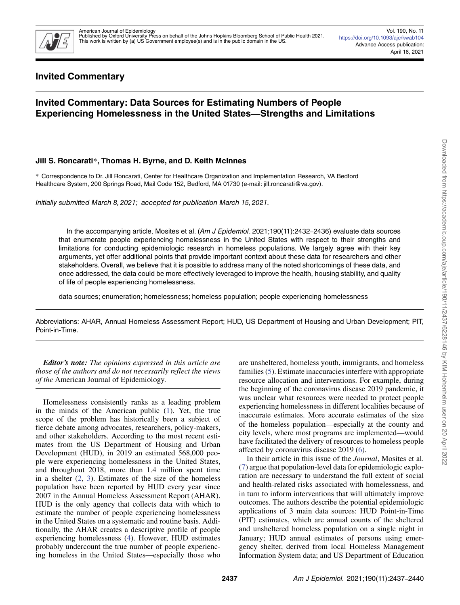

## **Invited Commentary**

# **Invited Commentary: Data Sources for Estimating Numbers of People Experiencing Homelessness in the United States—Strengths and Limitations**

## **Jill S. Roncarati**∗**, Thomas H. Byrne, and D. Keith McInnes**

∗ Correspondence to Dr. Jill Roncarati, Center for Healthcare Organization and Implementation Research, VA Bedford Healthcare System, 200 Springs Road, Mail Code 152, Bedford, MA 01730 (e-mail: jill.roncarati@va.gov).

Initially submitted March 8, 2021; accepted for publication March 15, 2021.

In the accompanying article, Mosites et al. (Am J Epidemiol. 2021;190(11):2432–2436) evaluate data sources that enumerate people experiencing homelessness in the United States with respect to their strengths and limitations for conducting epidemiologic research in homeless populations. We largely agree with their key arguments, yet offer additional points that provide important context about these data for researchers and other stakeholders. Overall, we believe that it is possible to address many of the noted shortcomings of these data, and once addressed, the data could be more effectively leveraged to improve the health, housing stability, and quality of life of people experiencing homelessness.

data sources; enumeration; homelessness; homeless population; people experiencing homelessness

Abbreviations: AHAR, Annual Homeless Assessment Report; HUD, US Department of Housing and Urban Development; PIT, Point-in-Time.

*Editor's note: The opinions expressed in this article are those of the authors and do not necessarily reflect the views of the* American Journal of Epidemiology.

Homelessness consistently ranks as a leading problem in the minds of the American public [\(1\)](#page-2-0). Yet, the true scope of the problem has historically been a subject of fierce debate among advocates, researchers, policy-makers, and other stakeholders. According to the most recent estimates from the US Department of Housing and Urban Development (HUD), in 2019 an estimated 568,000 people were experiencing homelessness in the United States, and throughout 2018, more than 1.4 million spent time in a shelter  $(2, 3)$  $(2, 3)$  $(2, 3)$ . Estimates of the size of the homeless population have been reported by HUD every year since 2007 in the Annual Homeless Assessment Report (AHAR). HUD is the only agency that collects data with which to estimate the number of people experiencing homelessness in the United States on a systematic and routine basis. Additionally, the AHAR creates a descriptive profile of people experiencing homelessness [\(4\)](#page-2-3). However, HUD estimates probably undercount the true number of people experiencing homeless in the United States—especially those who are unsheltered, homeless youth, immigrants, and homeless families [\(5\)](#page-2-4). Estimate inaccuracies interfere with appropriate resource allocation and interventions. For example, during the beginning of the coronavirus disease 2019 pandemic, it was unclear what resources were needed to protect people experiencing homelessness in different localities because of inaccurate estimates. More accurate estimates of the size of the homeless population—especially at the county and city levels, where most programs are implemented—would have facilitated the delivery of resources to homeless people affected by coronavirus disease 2019 [\(6\)](#page-2-5).

In their article in this issue of the *Journal*, Mosites et al. [\(7\)](#page-2-6) argue that population-level data for epidemiologic exploration are necessary to understand the full extent of social and health-related risks associated with homelessness, and in turn to inform interventions that will ultimately improve outcomes. The authors describe the potential epidemiologic applications of 3 main data sources: HUD Point-in-Time (PIT) estimates, which are annual counts of the sheltered and unsheltered homeless population on a single night in January; HUD annual estimates of persons using emergency shelter, derived from local Homeless Management Information System data; and US Department of Education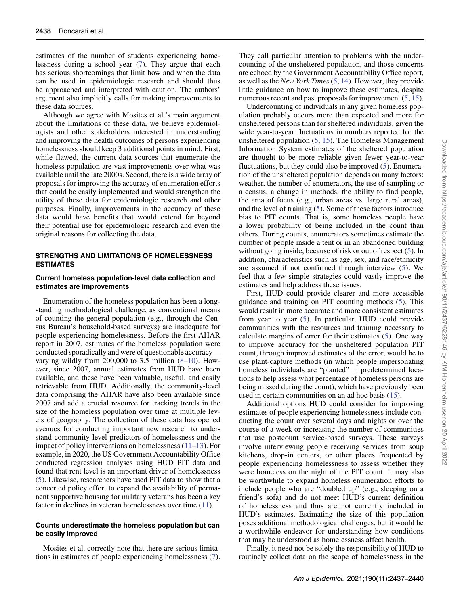estimates of the number of students experiencing homelessness during a school year [\(7\)](#page-2-6). They argue that each has serious shortcomings that limit how and when the data can be used in epidemiologic research and should thus be approached and interpreted with caution. The authors' argument also implicitly calls for making improvements to these data sources.

Although we agree with Mosites et al.'s main argument about the limitations of these data, we believe epidemiologists and other stakeholders interested in understanding and improving the health outcomes of persons experiencing homelessness should keep 3 additional points in mind. First, while flawed, the current data sources that enumerate the homeless population are vast improvements over what was available until the late 2000s. Second, there is a wide array of proposals for improving the accuracy of enumeration efforts that could be easily implemented and would strengthen the utility of these data for epidemiologic research and other purposes. Finally, improvements in the accuracy of these data would have benefits that would extend far beyond their potential use for epidemiologic research and even the original reasons for collecting the data.

#### **STRENGTHS AND LIMITATIONS OF HOMELESSNESS ESTIMATES**

#### **Current homeless population-level data collection and estimates are improvements**

Enumeration of the homeless population has been a longstanding methodological challenge, as conventional means of counting the general population (e.g., through the Census Bureau's household-based surveys) are inadequate for people experiencing homelessness. Before the first AHAR report in 2007, estimates of the homeless population were conducted sporadically and were of questionable accuracy varying wildly from 200,000 to 3.5 million [\(8–](#page-2-7)[10\)](#page-3-0). However, since 2007, annual estimates from HUD have been available, and these have been valuable, useful, and easily retrievable from HUD. Additionally, the community-level data comprising the AHAR have also been available since 2007 and add a crucial resource for tracking trends in the size of the homeless population over time at multiple levels of geography. The collection of these data has opened avenues for conducting important new research to understand community-level predictors of homelessness and the impact of policy interventions on homelessness [\(11](#page-3-1)[–13\)](#page-3-2). For example, in 2020, the US Government Accountability Office conducted regression analyses using HUD PIT data and found that rent level is an important driver of homelessness [\(5\)](#page-2-4). Likewise, researchers have used PIT data to show that a concerted policy effort to expand the availability of permanent supportive housing for military veterans has been a key factor in declines in veteran homelessness over time [\(11\)](#page-3-1).

#### **Counts underestimate the homeless population but can be easily improved**

Mosites et al. correctly note that there are serious limitations in estimates of people experiencing homelessness [\(7\)](#page-2-6). They call particular attention to problems with the undercounting of the unsheltered population, and those concerns are echoed by the Government Accountability Office report, as well as the *New York Times*[\(5,](#page-2-4) [14\)](#page-3-3). However, they provide little guidance on how to improve these estimates, despite numerous recent and past proposals for improvement  $(5, 15)$  $(5, 15)$  $(5, 15)$ .

Undercounting of individuals in any given homeless population probably occurs more than expected and more for unsheltered persons than for sheltered individuals, given the wide year-to-year fluctuations in numbers reported for the unsheltered population [\(5,](#page-2-4) [15\)](#page-3-4). The Homeless Management Information System estimates of the sheltered population are thought to be more reliable given fewer year-to-year fluctuations, but they could also be improved [\(5\)](#page-2-4). Enumeration of the unsheltered population depends on many factors: weather, the number of enumerators, the use of sampling or a census, a change in methods, the ability to find people, the area of focus (e.g., urban areas vs. large rural areas), and the level of training [\(5\)](#page-2-4). Some of these factors introduce bias to PIT counts. That is, some homeless people have a lower probability of being included in the count than others. During counts, enumerators sometimes estimate the number of people inside a tent or in an abandoned building without going inside, because of risk or out of respect [\(5\)](#page-2-4). In addition, characteristics such as age, sex, and race/ethnicity are assumed if not confirmed through interview [\(5\)](#page-2-4). We feel that a few simple strategies could vastly improve the estimates and help address these issues.

First, HUD could provide clearer and more accessible guidance and training on PIT counting methods [\(5\)](#page-2-4). This would result in more accurate and more consistent estimates from year to year [\(5\)](#page-2-4). In particular, HUD could provide communities with the resources and training necessary to calculate margins of error for their estimates [\(5\)](#page-2-4). One way to improve accuracy for the unsheltered population PIT count, through improved estimates of the error, would be to use plant-capture methods (in which people impersonating homeless individuals are "planted" in predetermined locations to help assess what percentage of homeless persons are being missed during the count), which have previously been used in certain communities on an ad hoc basis [\(15\)](#page-3-4).

Additional options HUD could consider for improving estimates of people experiencing homelessness include conducting the count over several days and nights or over the course of a week or increasing the number of communities that use postcount service-based surveys. These surveys involve interviewing people receiving services from soup kitchens, drop-in centers, or other places frequented by people experiencing homelessness to assess whether they were homeless on the night of the PIT count. It may also be worthwhile to expand homeless enumeration efforts to include people who are "doubled up" (e.g., sleeping on a friend's sofa) and do not meet HUD's current definition of homelessness and thus are not currently included in HUD's estimates. Estimating the size of this population poses additional methodological challenges, but it would be a worthwhile endeavor for understanding how conditions that may be understood as homelessness affect health.

Finally, it need not be solely the responsibility of HUD to routinely collect data on the scope of homelessness in the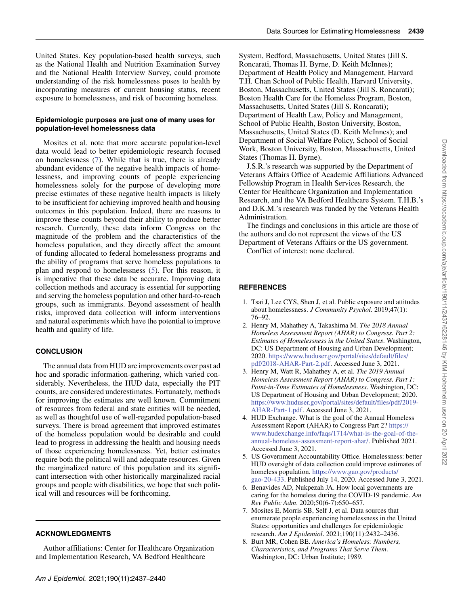United States. Key population-based health surveys, such as the National Health and Nutrition Examination Survey and the National Health Interview Survey, could promote understanding of the risk homelessness poses to health by incorporating measures of current housing status, recent exposure to homelessness, and risk of becoming homeless.

## **Epidemiologic purposes are just one of many uses for population-level homelessness data**

Mosites et al. note that more accurate population-level data would lead to better epidemiologic research focused on homelessness [\(7\)](#page-2-6). While that is true, there is already abundant evidence of the negative health impacts of homelessness, and improving counts of people experiencing homelessness solely for the purpose of developing more precise estimates of these negative health impacts is likely to be insufficient for achieving improved health and housing outcomes in this population. Indeed, there are reasons to improve these counts beyond their ability to produce better research. Currently, these data inform Congress on the magnitude of the problem and the characteristics of the homeless population, and they directly affect the amount of funding allocated to federal homelessness programs and the ability of programs that serve homeless populations to plan and respond to homelessness [\(5\)](#page-2-4). For this reason, it is imperative that these data be accurate. Improving data collection methods and accuracy is essential for supporting and serving the homeless population and other hard-to-reach groups, such as immigrants. Beyond assessment of health risks, improved data collection will inform interventions and natural experiments which have the potential to improve health and quality of life.

## **CONCLUSION**

The annual data from HUD are improvements over past ad hoc and sporadic information-gathering, which varied considerably. Nevertheless, the HUD data, especially the PIT counts, are considered underestimates. Fortunately, methods for improving the estimates are well known. Commitment of resources from federal and state entities will be needed, as well as thoughtful use of well-regarded population-based surveys. There is broad agreement that improved estimates of the homeless population would be desirable and could lead to progress in addressing the health and housing needs of those experiencing homelessness. Yet, better estimates require both the political will and adequate resources. Given the marginalized nature of this population and its significant intersection with other historically marginalized racial groups and people with disabilities, we hope that such political will and resources will be forthcoming.

## **ACKNOWLEDGMENTS**

Author affiliations: Center for Healthcare Organization and Implementation Research, VA Bedford Healthcare

System, Bedford, Massachusetts, United States (Jill S. Roncarati, Thomas H. Byrne, D. Keith McInnes); Department of Health Policy and Management, Harvard T.H. Chan School of Public Health, Harvard University, Boston, Massachusetts, United States (Jill S. Roncarati); Boston Health Care for the Homeless Program, Boston, Massachusetts, United States (Jill S. Roncarati); Department of Health Law, Policy and Management, School of Public Health, Boston University, Boston, Massachusetts, United States (D. Keith McInnes); and Department of Social Welfare Policy, School of Social Work, Boston University, Boston, Massachusetts, United States (Thomas H. Byrne).

J.S.R.'s research was supported by the Department of Veterans Affairs Office of Academic Affiliations Advanced Fellowship Program in Health Services Research, the Center for Healthcare Organization and Implementation Research, and the VA Bedford Healthcare System. T.H.B.'s and D.K.M.'s research was funded by the Veterans Health Administration.

The findings and conclusions in this article are those of the authors and do not represent the views of the US Department of Veterans Affairs or the US government.

Conflict of interest: none declared.

## **REFERENCES**

- <span id="page-2-0"></span>1. Tsai J, Lee CYS, Shen J, et al. Public exposure and attitudes about homelessness. *J Community Psychol*. 2019;47(1): 76–92.
- <span id="page-2-1"></span>2. Henry M, Mahathey A, Takashima M. *The 2018 Annual Homeless Assessment Report (AHAR) to Congress. Part 2: Estimates of Homelessness in the United States*. Washington, DC: US Department of Housing and Urban Development; 2020. [https://www.huduser.gov/portal/sites/default/files/](https://www.huduser.gov/portal/sites/default/files/pdf/2018-AHAR-Part-2.pdf) [pdf/2018-AHAR-Part-2.pdf.](https://www.huduser.gov/portal/sites/default/files/pdf/2018-AHAR-Part-2.pdf) Accessed June 3, 2021.
- <span id="page-2-2"></span>3. Henry M, Watt R, Mahathey A, et al. *The 2019 Annual Homeless Assessment Report (AHAR) to Congress. Part 1: Point-in-Time Estimates of Homelessness*. Washington, DC: US Department of Housing and Urban Development; 2020. [https://www.huduser.gov/portal/sites/default/files/pdf/2019-](https://www.huduser.gov/portal/sites/default/files/pdf/2019-AHAR-Part-1.pdf) [AHAR-Part-1.pdf.](https://www.huduser.gov/portal/sites/default/files/pdf/2019-AHAR-Part-1.pdf) Accessed June 3, 2021.
- <span id="page-2-3"></span>4. HUD Exchange. What is the goal of the Annual Homeless Assessment Report (AHAR) to Congress Part 2? [https://](https://www.hudexchange.info/faqs/1714/what-is-the-goal-of-the-annual-homeless-assessment-report-ahar/) [www.hudexchange.info/faqs/1714/what-is-the-goal-of-the](https://www.hudexchange.info/faqs/1714/what-is-the-goal-of-the-annual-homeless-assessment-report-ahar/)[annual-homeless-assessment-report-ahar/.](https://www.hudexchange.info/faqs/1714/what-is-the-goal-of-the-annual-homeless-assessment-report-ahar/) Published 2021. Accessed June 3, 2021.
- <span id="page-2-4"></span>5. US Government Accountability Office. Homelessness: better HUD oversight of data collection could improve estimates of homeless population. [https://www.gao.gov/products/](https://www.gao.gov/products/gao-20-433) [gao-20-433.](https://www.gao.gov/products/gao-20-433) Published July 14, 2020. Accessed June 3, 2021.
- <span id="page-2-5"></span>6. Benavides AD, Nukpezah JA. How local governments are caring for the homeless during the COVID-19 pandemic. *Am Rev Public Adm*. 2020;50(6-7):650–657.
- <span id="page-2-6"></span>7. Mosites E, Morris SB, Self J, et al. Data sources that enumerate people experiencing homelessness in the United States: opportunities and challenges for epidemiologic research. *Am J Epidemiol*. 2021;190(11):2432–2436.
- <span id="page-2-7"></span>8. Burt MR, Cohen BE. *America's Homeless: Numbers, Characteristics, and Programs That Serve Them*. Washington, DC: Urban Institute; 1989.